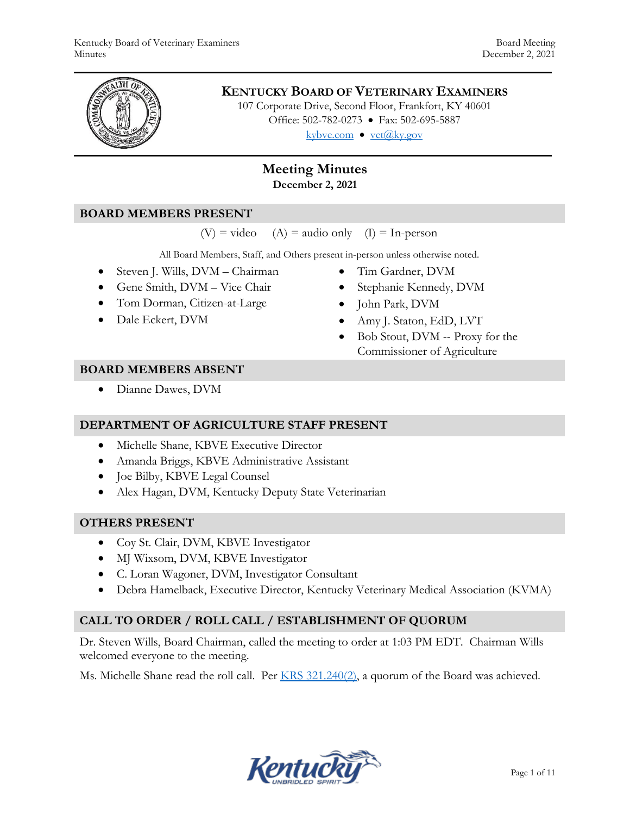

# **KENTUCKY BOARD OF VETERINARY EXAMINERS**

107 Corporate Drive, Second Floor, Frankfort, KY 40601 Office: 502-782-0273 • Fax: 502-695-5887 kybve.com  $\bullet$  vet@ky.gov

# **Meeting Minutes December 2, 2021**

#### **BOARD MEMBERS PRESENT**

 $(V)$  = video (A) = audio only (I) = In-person

All Board Members, Staff, and Others present in-person unless otherwise noted.

- Steven J. Wills, DVM Chairman
- Gene Smith, DVM Vice Chair
- Tom Dorman, Citizen-at-Large
- Dale Eckert, DVM
- Tim Gardner, DVM
- Stephanie Kennedy, DVM
- John Park, DVM
- Amy J. Staton, EdD, LVT
- Bob Stout, DVM -- Proxy for the Commissioner of Agriculture

#### **BOARD MEMBERS ABSENT**

Dianne Dawes, DVM

#### **DEPARTMENT OF AGRICULTURE STAFF PRESENT**

- Michelle Shane, KBVE Executive Director
- Amanda Briggs, KBVE Administrative Assistant
- Joe Bilby, KBVE Legal Counsel
- Alex Hagan, DVM, Kentucky Deputy State Veterinarian

#### **OTHERS PRESENT**

- Coy St. Clair, DVM, KBVE Investigator
- MJ Wixsom, DVM, KBVE Investigator
- C. Loran Wagoner, DVM, Investigator Consultant
- Debra Hamelback, Executive Director, Kentucky Veterinary Medical Association (KVMA)

#### **CALL TO ORDER / ROLL CALL / ESTABLISHMENT OF QUORUM**

Dr. Steven Wills, Board Chairman, called the meeting to order at 1:03 PM EDT. Chairman Wills welcomed everyone to the meeting.

Ms. Michelle Shane read the roll call. Per [KRS 321.240\(2\),](https://apps.legislature.ky.gov/law/statutes/statute.aspx?id=45333) a quorum of the Board was achieved.

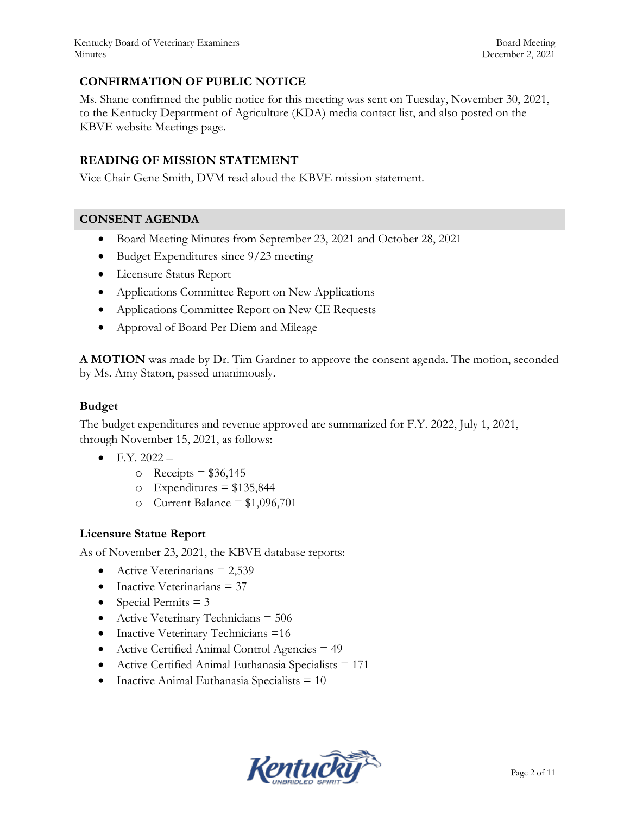Kentucky Board of Veterinary Examiners **Board Meeting** Board Meeting Minutes December 2, 2021

# **CONFIRMATION OF PUBLIC NOTICE**

Ms. Shane confirmed the public notice for this meeting was sent on Tuesday, November 30, 2021, to the Kentucky Department of Agriculture (KDA) media contact list, and also posted on the KBVE website Meetings page.

### **READING OF MISSION STATEMENT**

Vice Chair Gene Smith, DVM read aloud the KBVE mission statement.

#### **CONSENT AGENDA**

- Board Meeting Minutes from September 23, 2021 and October 28, 2021
- Budget Expenditures since 9/23 meeting
- Licensure Status Report
- Applications Committee Report on New Applications
- Applications Committee Report on New CE Requests
- Approval of Board Per Diem and Mileage

**A MOTION** was made by Dr. Tim Gardner to approve the consent agenda. The motion, seconded by Ms. Amy Staton, passed unanimously.

### **Budget**

The budget expenditures and revenue approved are summarized for F.Y. 2022, July 1, 2021, through November 15, 2021, as follows:

- $\bullet$  F.Y. 2022
	- $\circ$  Receipts = \$36,145
	- $\circ$  Expenditures = \$135,844
	- o Current Balance =  $$1,096,701$

#### **Licensure Statue Report**

As of November 23, 2021, the KBVE database reports:

- Active Veterinarians  $= 2,539$
- $\bullet$  Inactive Veterinarians = 37
- Special Permits  $= 3$
- Active Veterinary Technicians  $= 506$
- Inactive Veterinary Technicians =16
- Active Certified Animal Control Agencies = 49
- Active Certified Animal Euthanasia Specialists = 171
- Inactive Animal Euthanasia Specialists  $= 10$

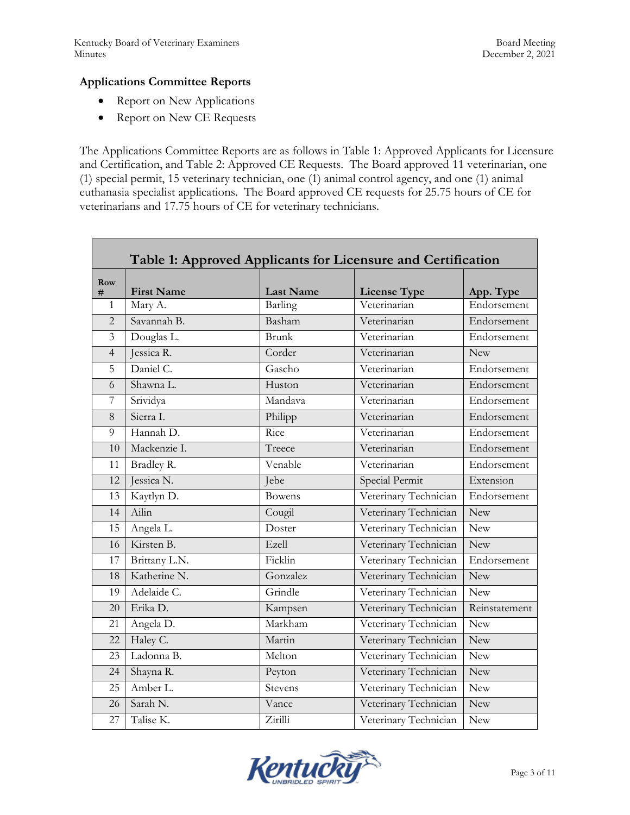Г

#### **Applications Committee Reports**

- Report on New Applications
- Report on New CE Requests

The Applications Committee Reports are as follows in Table 1: Approved Applicants for Licensure and Certification, and Table 2: Approved CE Requests. The Board approved 11 veterinarian, one (1) special permit, 15 veterinary technician, one (1) animal control agency, and one (1) animal euthanasia specialist applications. The Board approved CE requests for 25.75 hours of CE for veterinarians and 17.75 hours of CE for veterinary technicians.

| Table 1: Approved Applicants for Licensure and Certification |                   |                  |                       |               |  |  |  |
|--------------------------------------------------------------|-------------------|------------------|-----------------------|---------------|--|--|--|
| Row<br>#                                                     | <b>First Name</b> | <b>Last Name</b> | <b>License Type</b>   | App. Type     |  |  |  |
| 1                                                            | Mary A.           | Barling          | Veterinarian          | Endorsement   |  |  |  |
| $\overline{2}$                                               | Savannah B.       | Basham           | Veterinarian          | Endorsement   |  |  |  |
| $\overline{3}$                                               | Douglas L.        | <b>Brunk</b>     | Veterinarian          | Endorsement   |  |  |  |
| $\overline{4}$                                               | Jessica R.        | Corder           | Veterinarian          | <b>New</b>    |  |  |  |
| 5                                                            | Daniel C.         | Gascho           | Veterinarian          | Endorsement   |  |  |  |
| 6                                                            | Shawna L.         | Huston           | Veterinarian          | Endorsement   |  |  |  |
| $\overline{7}$                                               | Srividya          | Mandava          | Veterinarian          | Endorsement   |  |  |  |
| 8                                                            | Sierra I.         | Philipp          | Veterinarian          | Endorsement   |  |  |  |
| 9                                                            | Hannah D.         | Rice             | Veterinarian          | Endorsement   |  |  |  |
| 10                                                           | Mackenzie I.      | Treece           | Veterinarian          | Endorsement   |  |  |  |
| 11                                                           | Bradley R.        | Venable          | Veterinarian          | Endorsement   |  |  |  |
| 12                                                           | Jessica N.        | Jebe             | Special Permit        | Extension     |  |  |  |
| 13                                                           | Kaytlyn D.        | <b>Bowens</b>    | Veterinary Technician | Endorsement   |  |  |  |
| 14                                                           | Ailin             | Cougil           | Veterinary Technician | <b>New</b>    |  |  |  |
| 15                                                           | Angela L.         | Doster           | Veterinary Technician | New           |  |  |  |
| 16                                                           | Kirsten B.        | Ezell            | Veterinary Technician | <b>New</b>    |  |  |  |
| 17                                                           | Brittany L.N.     | Ficklin          | Veterinary Technician | Endorsement   |  |  |  |
| 18                                                           | Katherine N.      | Gonzalez         | Veterinary Technician | New           |  |  |  |
| 19                                                           | Adelaide C.       | Grindle          | Veterinary Technician | New           |  |  |  |
| 20                                                           | Erika D.          | Kampsen          | Veterinary Technician | Reinstatement |  |  |  |
| 21                                                           | Angela D.         | Markham          | Veterinary Technician | New           |  |  |  |
| 22                                                           | Haley C.          | Martin           | Veterinary Technician | <b>New</b>    |  |  |  |
| 23                                                           | Ladonna B.        | Melton           | Veterinary Technician | New           |  |  |  |
| 24                                                           | Shayna R.         | Peyton           | Veterinary Technician | New           |  |  |  |
| 25                                                           | Amber L.          | Stevens          | Veterinary Technician | New           |  |  |  |
| 26                                                           | Sarah N.          | Vance            | Veterinary Technician | New           |  |  |  |
| 27                                                           | Talise K.         | Zirilli          | Veterinary Technician | <b>New</b>    |  |  |  |

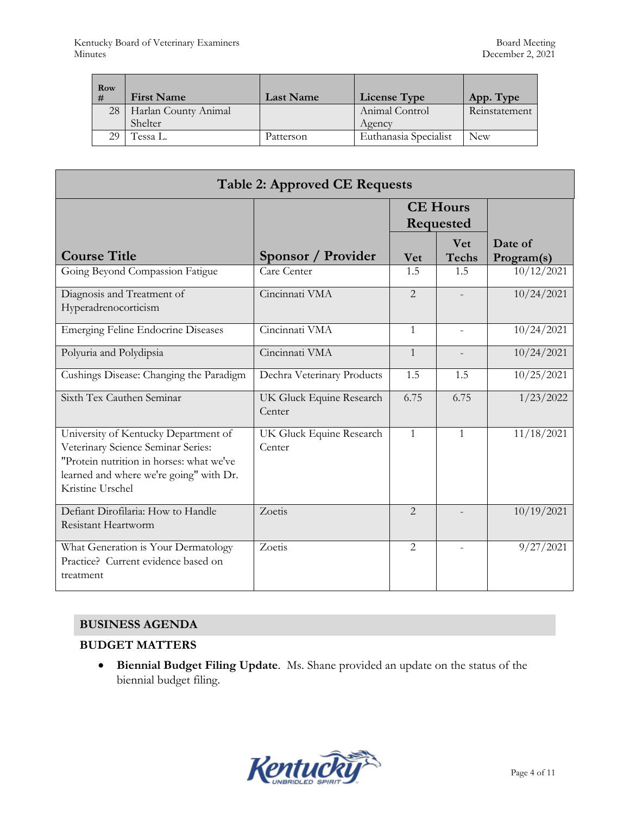| Row<br># | <b>First Name</b>    | <b>Last Name</b> | <b>License Type</b>   | App. Type     |
|----------|----------------------|------------------|-----------------------|---------------|
| 28       | Harlan County Animal |                  | Animal Control        | Reinstatement |
|          | Shelter              |                  | Agency                |               |
| 29       | Tessa L.             | Patterson        | Euthanasia Specialist | New           |

| <b>Table 2: Approved CE Requests</b>                                                                                                                                                  |                                    |                              |                            |                       |  |  |  |  |
|---------------------------------------------------------------------------------------------------------------------------------------------------------------------------------------|------------------------------------|------------------------------|----------------------------|-----------------------|--|--|--|--|
|                                                                                                                                                                                       |                                    | <b>CE Hours</b><br>Requested |                            |                       |  |  |  |  |
| <b>Course Title</b>                                                                                                                                                                   | Sponsor / Provider                 | <b>Vet</b>                   | <b>Vet</b><br><b>Techs</b> | Date of<br>Program(s) |  |  |  |  |
| Going Beyond Compassion Fatigue                                                                                                                                                       | Care Center                        | 1.5                          | 1.5                        | 10/12/2021            |  |  |  |  |
| Diagnosis and Treatment of<br>Hyperadrenocorticism                                                                                                                                    | Cincinnati VMA                     | $\overline{2}$               |                            | 10/24/2021            |  |  |  |  |
| <b>Emerging Feline Endocrine Diseases</b>                                                                                                                                             | Cincinnati VMA                     | $\mathbf{1}$                 |                            | 10/24/2021            |  |  |  |  |
| Polyuria and Polydipsia                                                                                                                                                               | Cincinnati VMA                     | $\mathbf{1}$                 |                            | 10/24/2021            |  |  |  |  |
| Cushings Disease: Changing the Paradigm                                                                                                                                               | Dechra Veterinary Products         | 1.5                          | 1.5                        | 10/25/2021            |  |  |  |  |
| Sixth Tex Cauthen Seminar                                                                                                                                                             | UK Gluck Equine Research<br>Center | 6.75                         | 6.75                       | 1/23/2022             |  |  |  |  |
| University of Kentucky Department of<br>Veterinary Science Seminar Series:<br>"Protein nutrition in horses: what we've<br>learned and where we're going" with Dr.<br>Kristine Urschel | UK Gluck Equine Research<br>Center | $\mathbf{1}$                 | $\mathbf{1}$               | 11/18/2021            |  |  |  |  |
| Defiant Dirofilaria: How to Handle<br>Resistant Heartworm                                                                                                                             | Zoetis                             | $\mathfrak{D}$               |                            | 10/19/2021            |  |  |  |  |
| What Generation is Your Dermatology<br>Practice? Current evidence based on<br>treatment                                                                                               | Zoetis                             | 2                            |                            | 9/27/2021             |  |  |  |  |

# **BUSINESS AGENDA**

# **BUDGET MATTERS**

 **Biennial Budget Filing Update**. Ms. Shane provided an update on the status of the biennial budget filing.

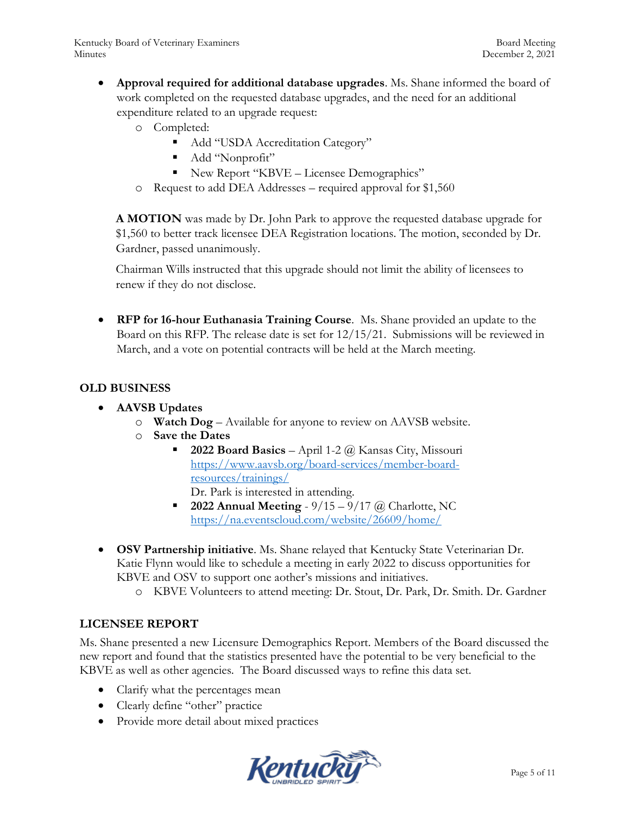- **Approval required for additional database upgrades**. Ms. Shane informed the board of work completed on the requested database upgrades, and the need for an additional expenditure related to an upgrade request:
	- o Completed:
		- Add "USDA Accreditation Category"
		- Add "Nonprofit"
		- New Report "KBVE Licensee Demographics"
	- o Request to add DEA Addresses required approval for \$1,560

**A MOTION** was made by Dr. John Park to approve the requested database upgrade for \$1,560 to better track licensee DEA Registration locations. The motion, seconded by Dr. Gardner, passed unanimously.

Chairman Wills instructed that this upgrade should not limit the ability of licensees to renew if they do not disclose.

 **RFP for 16-hour Euthanasia Training Course**. Ms. Shane provided an update to the Board on this RFP. The release date is set for 12/15/21. Submissions will be reviewed in March, and a vote on potential contracts will be held at the March meeting.

# **OLD BUSINESS**

- **AAVSB Updates**
	- o **Watch Dog** Available for anyone to review on AAVSB website.
	- o **Save the Dates** 
		- **2022 Board Basics** April 1-2 @ Kansas City, Missouri [https://www.aavsb.org/board-services/member-board](https://www.aavsb.org/board-services/member-board-resources/trainings/)[resources/trainings/](https://www.aavsb.org/board-services/member-board-resources/trainings/)
			- Dr. Park is interested in attending.
		- **2022 Annual Meeting**  $9/15 9/17$  @ Charlotte, NC <https://na.eventscloud.com/website/26609/home/>
- **OSV Partnership initiative**. Ms. Shane relayed that Kentucky State Veterinarian Dr. Katie Flynn would like to schedule a meeting in early 2022 to discuss opportunities for KBVE and OSV to support one aother's missions and initiatives.
	- o KBVE Volunteers to attend meeting: Dr. Stout, Dr. Park, Dr. Smith. Dr. Gardner

# **LICENSEE REPORT**

Ms. Shane presented a new Licensure Demographics Report. Members of the Board discussed the new report and found that the statistics presented have the potential to be very beneficial to the KBVE as well as other agencies. The Board discussed ways to refine this data set.

- Clarify what the percentages mean
- Clearly define "other" practice
- Provide more detail about mixed practices

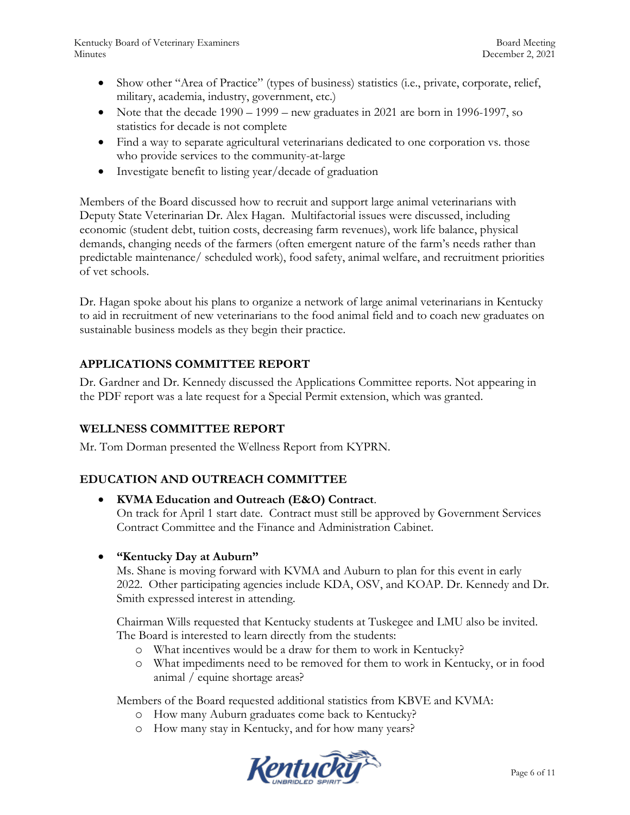Kentucky Board of Veterinary Examiners and the state of the Board Meeting Board Meeting Minutes December 2, 2021

- Show other "Area of Practice" (types of business) statistics (i.e., private, corporate, relief, military, academia, industry, government, etc.)
- Note that the decade  $1990 1999 -$  new graduates in 2021 are born in 1996-1997, so statistics for decade is not complete
- Find a way to separate agricultural veterinarians dedicated to one corporation vs. those who provide services to the community-at-large
- Investigate benefit to listing year/decade of graduation

Members of the Board discussed how to recruit and support large animal veterinarians with Deputy State Veterinarian Dr. Alex Hagan. Multifactorial issues were discussed, including economic (student debt, tuition costs, decreasing farm revenues), work life balance, physical demands, changing needs of the farmers (often emergent nature of the farm's needs rather than predictable maintenance/ scheduled work), food safety, animal welfare, and recruitment priorities of vet schools.

Dr. Hagan spoke about his plans to organize a network of large animal veterinarians in Kentucky to aid in recruitment of new veterinarians to the food animal field and to coach new graduates on sustainable business models as they begin their practice.

# **APPLICATIONS COMMITTEE REPORT**

Dr. Gardner and Dr. Kennedy discussed the Applications Committee reports. Not appearing in the PDF report was a late request for a Special Permit extension, which was granted.

# **WELLNESS COMMITTEE REPORT**

Mr. Tom Dorman presented the Wellness Report from KYPRN.

# **EDUCATION AND OUTREACH COMMITTEE**

- **KVMA Education and Outreach (E&O) Contract**. On track for April 1 start date. Contract must still be approved by Government Services Contract Committee and the Finance and Administration Cabinet.
- **"Kentucky Day at Auburn"**

Ms. Shane is moving forward with KVMA and Auburn to plan for this event in early 2022. Other participating agencies include KDA, OSV, and KOAP. Dr. Kennedy and Dr. Smith expressed interest in attending.

Chairman Wills requested that Kentucky students at Tuskegee and LMU also be invited. The Board is interested to learn directly from the students:

- o What incentives would be a draw for them to work in Kentucky?
- o What impediments need to be removed for them to work in Kentucky, or in food animal / equine shortage areas?

Members of the Board requested additional statistics from KBVE and KVMA:

- o How many Auburn graduates come back to Kentucky?
- o How many stay in Kentucky, and for how many years?

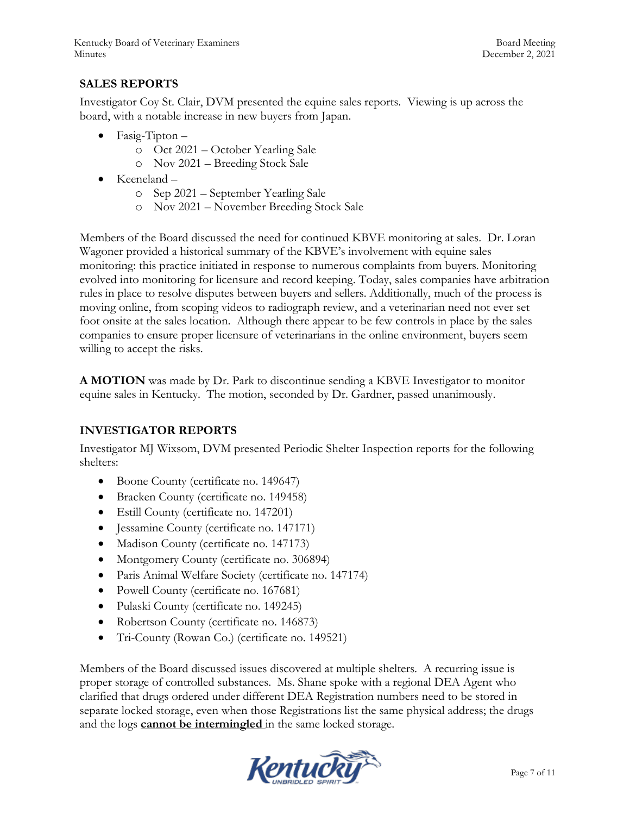# **SALES REPORTS**

Investigator Coy St. Clair, DVM presented the equine sales reports. Viewing is up across the board, with a notable increase in new buyers from Japan.

- $\bullet$  Fasig-Tipton
	- o Oct 2021 October Yearling Sale
	- o Nov 2021 Breeding Stock Sale
- Keeneland
	- o Sep 2021 September Yearling Sale
	- o Nov 2021 November Breeding Stock Sale

Members of the Board discussed the need for continued KBVE monitoring at sales. Dr. Loran Wagoner provided a historical summary of the KBVE's involvement with equine sales monitoring: this practice initiated in response to numerous complaints from buyers. Monitoring evolved into monitoring for licensure and record keeping. Today, sales companies have arbitration rules in place to resolve disputes between buyers and sellers. Additionally, much of the process is moving online, from scoping videos to radiograph review, and a veterinarian need not ever set foot onsite at the sales location. Although there appear to be few controls in place by the sales companies to ensure proper licensure of veterinarians in the online environment, buyers seem willing to accept the risks.

**A MOTION** was made by Dr. Park to discontinue sending a KBVE Investigator to monitor equine sales in Kentucky. The motion, seconded by Dr. Gardner, passed unanimously.

# **INVESTIGATOR REPORTS**

Investigator MJ Wixsom, DVM presented Periodic Shelter Inspection reports for the following shelters:

- Boone County (certificate no. 149647)
- Bracken County (certificate no. 149458)
- Estill County (certificate no. 147201)
- Jessamine County (certificate no. 147171)
- Madison County (certificate no. 147173)
- Montgomery County (certificate no. 306894)
- Paris Animal Welfare Society (certificate no. 147174)
- Powell County (certificate no. 167681)
- Pulaski County (certificate no. 149245)
- Robertson County (certificate no. 146873)
- Tri-County (Rowan Co.) (certificate no. 149521)

Members of the Board discussed issues discovered at multiple shelters. A recurring issue is proper storage of controlled substances. Ms. Shane spoke with a regional DEA Agent who clarified that drugs ordered under different DEA Registration numbers need to be stored in separate locked storage, even when those Registrations list the same physical address; the drugs and the logs **cannot be intermingled** in the same locked storage.

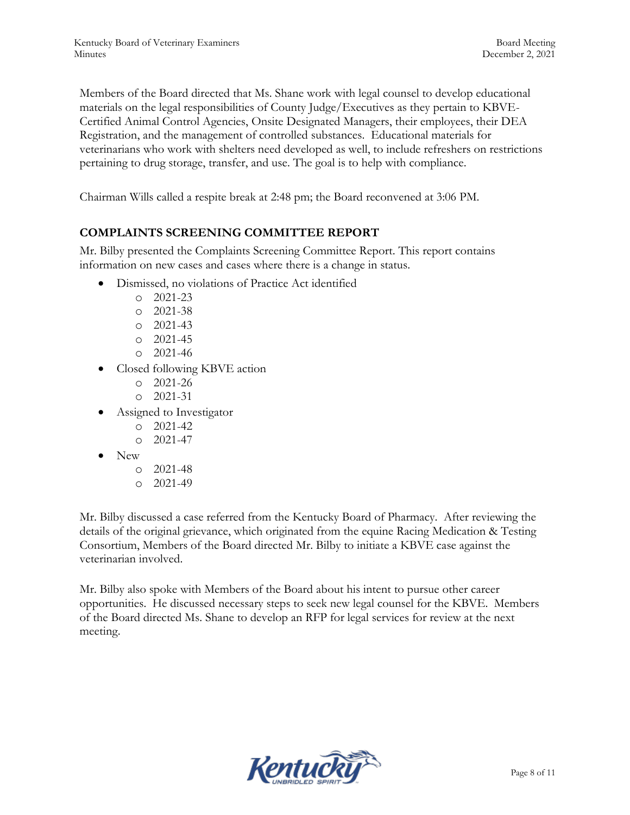Members of the Board directed that Ms. Shane work with legal counsel to develop educational materials on the legal responsibilities of County Judge/Executives as they pertain to KBVE-Certified Animal Control Agencies, Onsite Designated Managers, their employees, their DEA Registration, and the management of controlled substances. Educational materials for veterinarians who work with shelters need developed as well, to include refreshers on restrictions pertaining to drug storage, transfer, and use. The goal is to help with compliance.

Chairman Wills called a respite break at 2:48 pm; the Board reconvened at 3:06 PM.

## **COMPLAINTS SCREENING COMMITTEE REPORT**

Mr. Bilby presented the Complaints Screening Committee Report. This report contains information on new cases and cases where there is a change in status.

- Dismissed, no violations of Practice Act identified
	- o 2021-23
	- o 2021-38
	- o 2021-43
	- o 2021-45
	- o 2021-46
- Closed following KBVE action
	- o 2021-26
	- o 2021-31
- Assigned to Investigator
	- o 2021-42
	- o 2021-47
- New
	- o 2021-48
	- o 2021-49

Mr. Bilby discussed a case referred from the Kentucky Board of Pharmacy. After reviewing the details of the original grievance, which originated from the equine Racing Medication & Testing Consortium, Members of the Board directed Mr. Bilby to initiate a KBVE case against the veterinarian involved.

Mr. Bilby also spoke with Members of the Board about his intent to pursue other career opportunities. He discussed necessary steps to seek new legal counsel for the KBVE. Members of the Board directed Ms. Shane to develop an RFP for legal services for review at the next meeting.

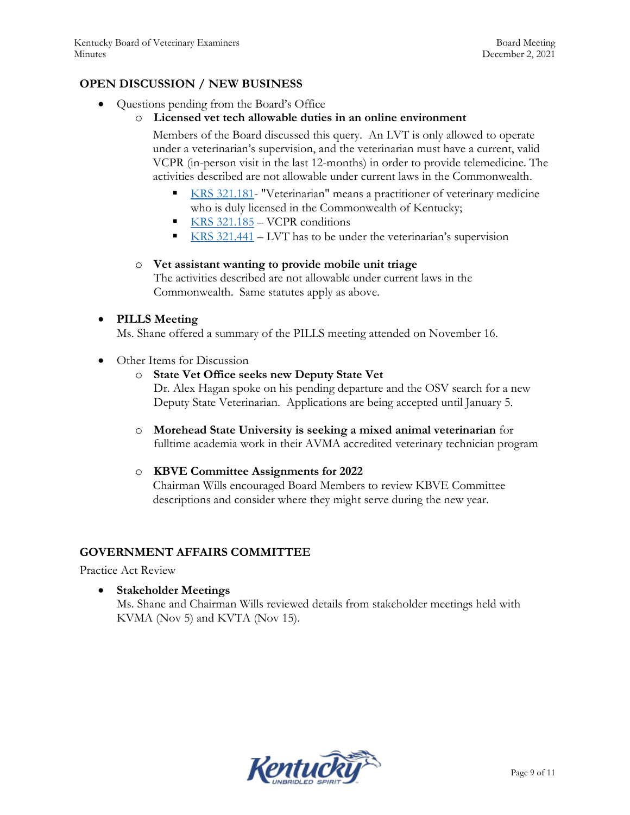## **OPEN DISCUSSION / NEW BUSINESS**

- Questions pending from the Board's Office
	- o **Licensed vet tech allowable duties in an online environment**

Members of the Board discussed this query. An LVT is only allowed to operate under a veterinarian's supervision, and the veterinarian must have a current, valid VCPR (in-person visit in the last 12-months) in order to provide telemedicine. The activities described are not allowable under current laws in the Commonwealth.

- [KRS 321.181-](https://apps.legislature.ky.gov/law/statutes/statute.aspx?id=45321) "Veterinarian" means a practitioner of veterinary medicine who is duly licensed in the Commonwealth of Kentucky;
- KRS  $321.185 VCPR$  conditions
- [KRS 321.441](https://apps.legislature.ky.gov/law/statutes/statute.aspx?id=45336) LVT has to be under the veterinarian's supervision

#### o **Vet assistant wanting to provide mobile unit triage**

The activities described are not allowable under current laws in the Commonwealth. Same statutes apply as above.

#### **PILLS Meeting**

Ms. Shane offered a summary of the PILLS meeting attended on November 16.

• Other Items for Discussion

### o **State Vet Office seeks new Deputy State Vet**

Dr. Alex Hagan spoke on his pending departure and the OSV search for a new Deputy State Veterinarian. Applications are being accepted until January 5.

o **Morehead State University is seeking a mixed animal veterinarian** for fulltime academia work in their AVMA accredited veterinary technician program

#### o **KBVE Committee Assignments for 2022**

Chairman Wills encouraged Board Members to review KBVE Committee descriptions and consider where they might serve during the new year.

#### **GOVERNMENT AFFAIRS COMMITTEE**

Practice Act Review

 **Stakeholder Meetings**  Ms. Shane and Chairman Wills reviewed details from stakeholder meetings held with KVMA (Nov 5) and KVTA (Nov 15).

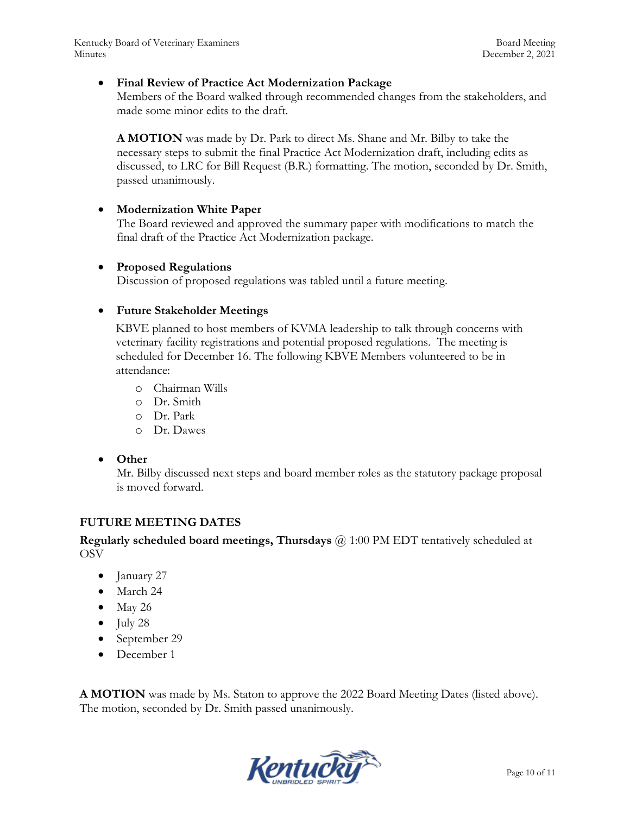Kentucky Board of Veterinary Examiners and the state of the Board Meeting Board Meeting Minutes December 2, 2021

#### **Final Review of Practice Act Modernization Package**

Members of the Board walked through recommended changes from the stakeholders, and made some minor edits to the draft.

**A MOTION** was made by Dr. Park to direct Ms. Shane and Mr. Bilby to take the necessary steps to submit the final Practice Act Modernization draft, including edits as discussed, to LRC for Bill Request (B.R.) formatting. The motion, seconded by Dr. Smith, passed unanimously.

#### **Modernization White Paper**

The Board reviewed and approved the summary paper with modifications to match the final draft of the Practice Act Modernization package.

#### **Proposed Regulations**

Discussion of proposed regulations was tabled until a future meeting.

## **Future Stakeholder Meetings**

KBVE planned to host members of KVMA leadership to talk through concerns with veterinary facility registrations and potential proposed regulations. The meeting is scheduled for December 16. The following KBVE Members volunteered to be in attendance:

- o Chairman Wills
- o Dr. Smith
- o Dr. Park
- o Dr. Dawes
- **Other**

Mr. Bilby discussed next steps and board member roles as the statutory package proposal is moved forward.

#### **FUTURE MEETING DATES**

**Regularly scheduled board meetings, Thursdays** @ 1:00 PM EDT tentatively scheduled at **OSV** 

- January 27
- March 24
- $\bullet$  May 26
- $\bullet$  July 28
- September 29
- December 1

**A MOTION** was made by Ms. Staton to approve the 2022 Board Meeting Dates (listed above). The motion, seconded by Dr. Smith passed unanimously.

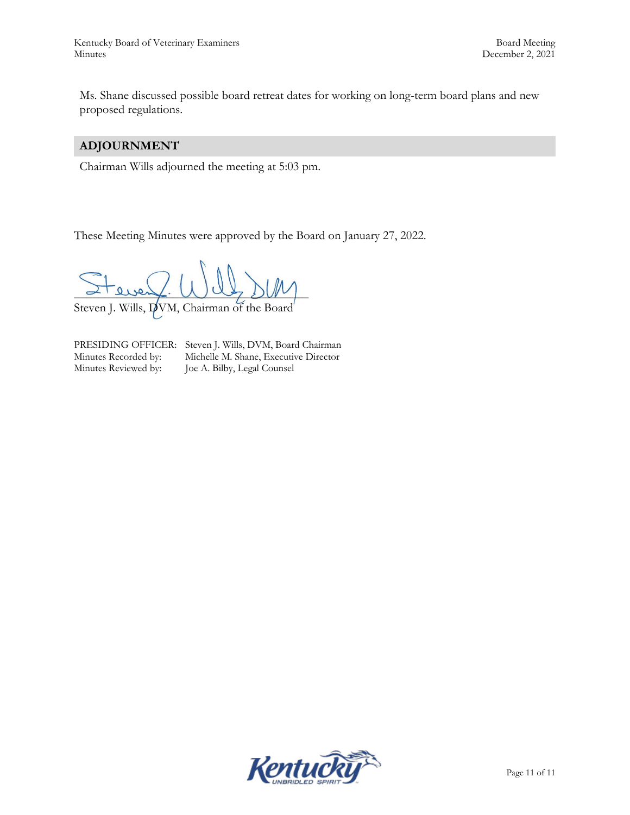Ms. Shane discussed possible board retreat dates for working on long-term board plans and new proposed regulations.

# **ADJOURNMENT**

Chairman Wills adjourned the meeting at 5:03 pm.

These Meeting Minutes were approved by the Board on January 27, 2022.

 $L$  die  $\sim$   $\sim$   $\sim$   $\sim$   $\sim$ 

Steven J. Wills, DVM, Chairman of the Board

PRESIDING OFFICER: Steven J. Wills, DVM, Board Chairman<br>Minutes Recorded by: Michelle M. Shane, Executive Director Minutes Recorded by: Michelle M. Shane, Executive Director<br>Minutes Reviewed by: Joe A. Bilby, Legal Counsel Joe A. Bilby, Legal Counsel

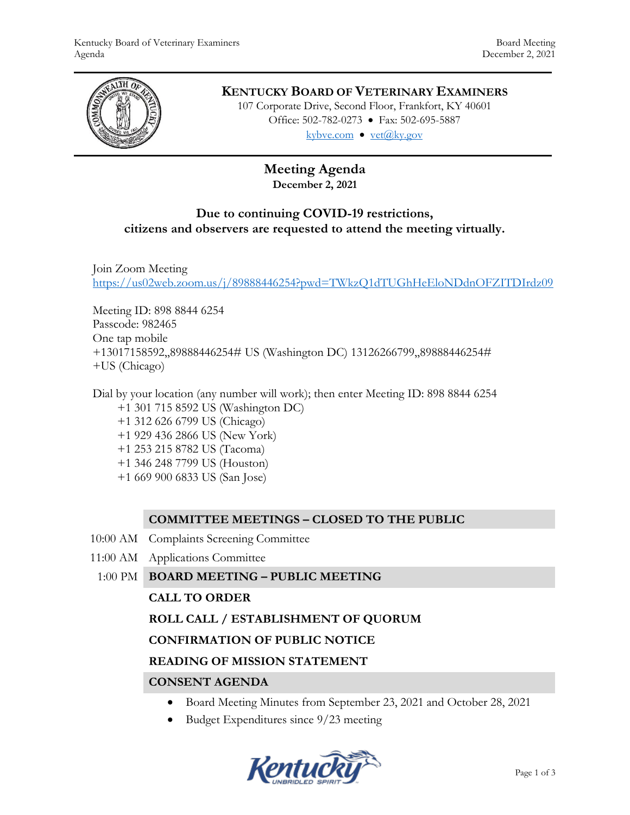

# **KENTUCKY BOARD OF VETERINARY EXAMINERS**

107 Corporate Drive, Second Floor, Frankfort, KY 40601 Office: 502-782-0273 • Fax: 502-695-5887 kybve.com  $\bullet$  yet $(\partial_k ky.gov)$ 

# **Meeting Agenda December 2, 2021**

# **Due to continuing COVID-19 restrictions, citizens and observers are requested to attend the meeting virtually.**

Join Zoom Meeting <https://us02web.zoom.us/j/89888446254?pwd=TWkzQ1dTUGhHeEloNDdnOFZITDIrdz09>

Meeting ID: 898 8844 6254 Passcode: 982465 One tap mobile +13017158592,,89888446254# US (Washington DC) 13126266799,,89888446254# +US (Chicago)

Dial by your location (any number will work); then enter Meeting ID: 898 8844 6254 +1 301 715 8592 US (Washington DC) +1 312 626 6799 US (Chicago) +1 929 436 2866 US (New York) +1 253 215 8782 US (Tacoma) +1 346 248 7799 US (Houston) +1 669 900 6833 US (San Jose)

# **COMMITTEE MEETINGS – CLOSED TO THE PUBLIC**

- 10:00 AM Complaints Screening Committee
- 11:00 AM Applications Committee
- 1:00 PM **BOARD MEETING – PUBLIC MEETING**

#### **CALL TO ORDER**

# **ROLL CALL / ESTABLISHMENT OF QUORUM**

#### **CONFIRMATION OF PUBLIC NOTICE**

#### **READING OF MISSION STATEMENT**

# **CONSENT AGENDA**

- Board Meeting Minutes from September 23, 2021 and October 28, 2021
- Budget Expenditures since 9/23 meeting

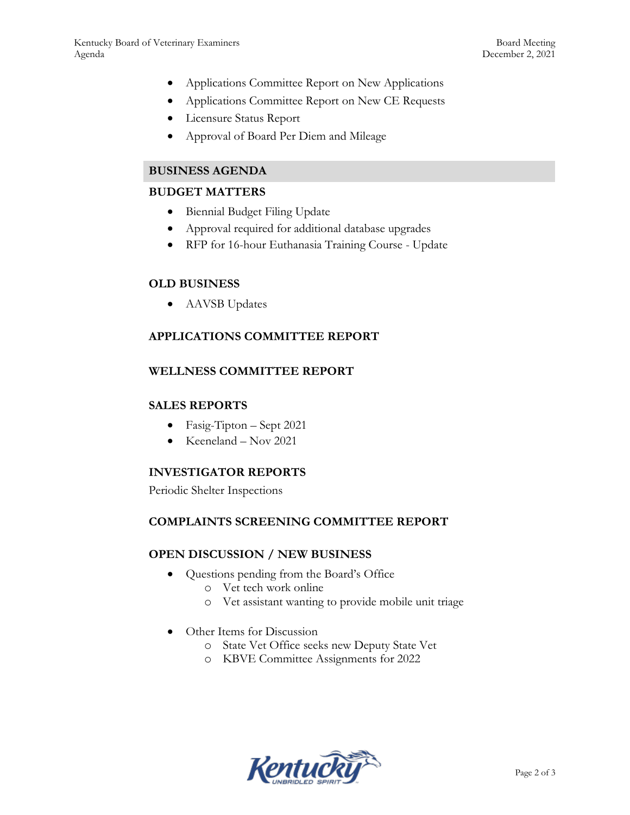- Applications Committee Report on New Applications
- Applications Committee Report on New CE Requests
- Licensure Status Report
- Approval of Board Per Diem and Mileage

## **BUSINESS AGENDA**

### **BUDGET MATTERS**

- Biennial Budget Filing Update
- Approval required for additional database upgrades
- RFP for 16-hour Euthanasia Training Course Update

## **OLD BUSINESS**

AAVSB Updates

# **APPLICATIONS COMMITTEE REPORT**

#### **WELLNESS COMMITTEE REPORT**

### **SALES REPORTS**

- Fasig-Tipton Sept 2021
- $\bullet$  Keeneland Nov 2021

# **INVESTIGATOR REPORTS**

Periodic Shelter Inspections

#### **COMPLAINTS SCREENING COMMITTEE REPORT**

#### **OPEN DISCUSSION / NEW BUSINESS**

- Questions pending from the Board's Office
	- o Vet tech work online
	- o Vet assistant wanting to provide mobile unit triage
- Other Items for Discussion
	- o State Vet Office seeks new Deputy State Vet
	- o KBVE Committee Assignments for 2022